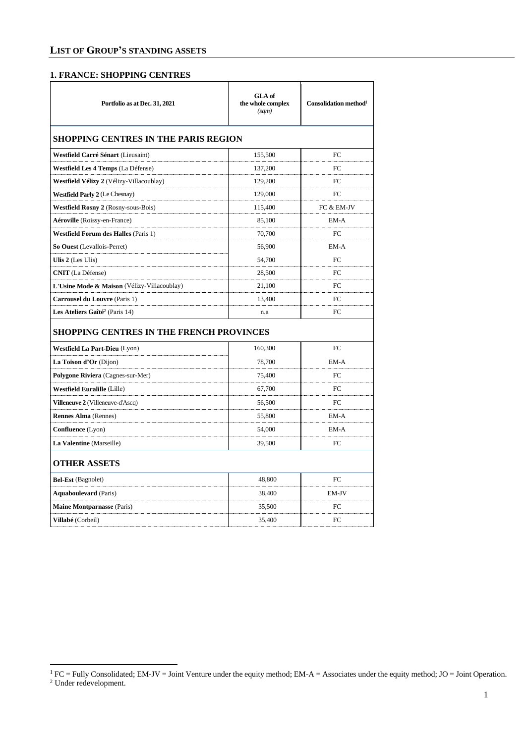#### **1. FRANCE: SHOPPING CENTRES**

| Portfolio as at Dec. 31, 2021               | GLA of<br>the whole complex<br>(sqm) | Consolidation method $1$ |
|---------------------------------------------|--------------------------------------|--------------------------|
| <b>SHOPPING CENTRES IN THE PARIS REGION</b> |                                      |                          |
| Westfield Carré Sénart (Lieusaint)          | 155,500                              | FC.                      |
| Westfield Les 4 Temps (La Défense)          | 137,200                              | FC                       |
| Westfield Vélizy 2 (Vélizy-Villacoublay)    | 129,200                              | FC                       |
| <b>Westfield Parly 2</b> (Le Chesnay)       | 129,000                              | FC                       |
| Westfield Rosny 2 (Rosny-sous-Bois)         | 115,400                              | FC & EM-JV               |
| Aéroville (Roissy-en-France)                | 85,100                               | EM-A                     |
| <b>Westfield Forum des Halles (Paris 1)</b> | 70,700                               | FC                       |
| So Ouest (Levallois-Perret)                 | 56,900                               | EM-A                     |
| Ulis 2 (Les Ulis)                           | 54,700                               | FC                       |
| <b>CNIT</b> (La Défense)                    | 28,500                               | FC                       |
| L'Usine Mode & Maison (Vélizy-Villacoublay) | 21,100                               | FC                       |
| <b>Carrousel du Louvre (Paris 1)</b>        | 13,400                               | FC                       |
| Les Ateliers Gaîté <sup>2</sup> (Paris 14)  | n.a                                  | FC.                      |
| SHOPPING CENTRES IN THE FRENCH PROVINCES    |                                      |                          |
| Westfield La Part-Dieu (Lyon)               | 160,300                              | FC                       |
| La Toison d'Or (Dijon)                      | 78,700                               | EM-A                     |
| Polygone Riviera (Cagnes-sur-Mer)           | 75,400                               | FC                       |
| <b>Westfield Euralille</b> (Lille)          | 67,700                               | FC                       |
| <b>Villeneuve 2</b> (Villeneuve-d'Ascq)     | 56,500                               | FC                       |
| <b>Rennes Alma</b> (Rennes)                 | 55,800                               | EM-A                     |
| <b>Confluence</b> (Lyon)                    | 54,000                               | EM-A                     |
| La Valentine (Marseille)                    | 39,500                               | FC                       |
| <b>OTHER ASSETS</b>                         |                                      |                          |
| Bel-Est (Bagnolet)                          | 48,800                               | FC                       |
| <b>Aquaboulevard</b> (Paris)                | 38,400                               | EM-JV                    |
| <b>Maine Montparnasse (Paris)</b>           | 35,500                               | FC                       |
| Villabé (Corbeil)                           | 35,400                               | FC                       |

 ${}^{1}$  FC = Fully Consolidated; EM-JV = Joint Venture under the equity method; EM-A = Associates under the equity method; JO = Joint Operation.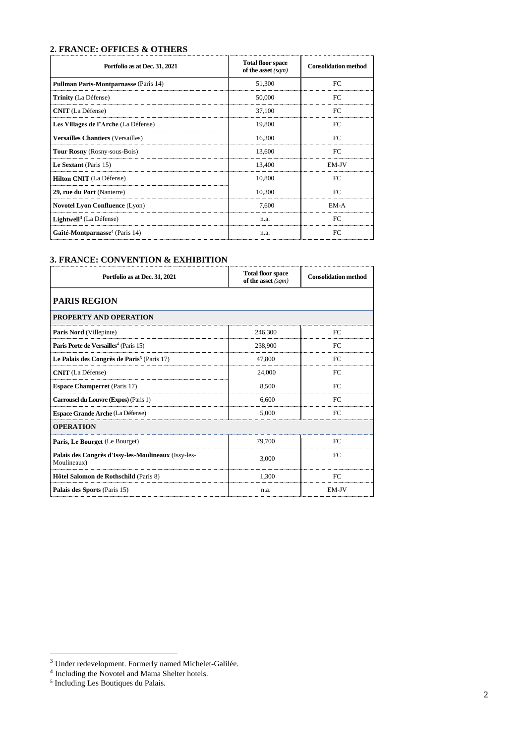#### **2. FRANCE: OFFICES & OTHERS**

| Portfolio as at Dec. 31, 2021                | <b>Total floor space</b><br>of the asset $(sqm)$ | <b>Consolidation method</b> |
|----------------------------------------------|--------------------------------------------------|-----------------------------|
| <b>Pullman Paris-Montparnasse (Paris 14)</b> | 51,300                                           | FC.                         |
| <b>Trinity</b> (La Défense)                  | 50,000                                           | FC                          |
| <b>CNIT</b> (La Défense)                     | 37.100                                           | FC                          |
| Les Villages de l'Arche (La Défense)         | 19.800                                           | FC                          |
| <b>Versailles Chantiers (Versailles)</b>     | 16.300                                           | EC                          |
| <b>Tour Rosny</b> (Rosny-sous-Bois)          | 13.600                                           | EC                          |
| Le Sextant (Paris 15)                        | 13.400                                           | EM-JV                       |
| Hilton CNIT (La Défense)                     | 10.800                                           | FC                          |
| 29, rue du Port (Nanterre)                   | 10.300                                           | EC                          |
| <b>Novotel Lyon Confluence (Lyon)</b>        | 7.600                                            | EM-A                        |
| <b>Lightwell</b> <sup>3</sup> (La Défense)   | n.a.                                             | FC                          |
| Gaîté-Montparnasse <sup>4</sup> (Paris 14)   | n.a.                                             | FC                          |

## **3. FRANCE: CONVENTION & EXHIBITION**

| Portfolio as at Dec. 31, 2021                                      | <b>Total floor space</b><br>of the asset $(sqm)$ | <b>Consolidation method</b> |
|--------------------------------------------------------------------|--------------------------------------------------|-----------------------------|
| <b>PARIS REGION</b>                                                |                                                  |                             |
| PROPERTY AND OPERATION                                             |                                                  |                             |
| Paris Nord (Villepinte)                                            | 246,300                                          | FC                          |
| Paris Porte de Versailles <sup>4</sup> (Paris 15)                  | 238,900                                          | FC                          |
| Le Palais des Congrès de Paris <sup>5</sup> (Paris 17)             | 47,800                                           | FC                          |
| <b>CNIT</b> (La Défense)                                           | 24,000                                           | FC                          |
| <b>Espace Champerret</b> (Paris 17)                                | 8,500                                            | FC                          |
| Carrousel du Louvre (Expos) (Paris 1)                              | 6.600                                            | FC                          |
| <b>Espace Grande Arche (La Défense)</b>                            | 5,000                                            | FC                          |
| <b>OPERATION</b>                                                   |                                                  |                             |
| Paris, Le Bourget (Le Bourget)                                     | 79,700                                           | FC                          |
| Palais des Congrès d'Issy-les-Moulineaux (Issy-les-<br>Moulineaux) | 3,000                                            | FC                          |
| Hôtel Salomon de Rothschild (Paris 8)                              | 1.300                                            | FC                          |
| Palais des Sports (Paris 15)                                       | n.a.                                             | EM-JV                       |

<sup>&</sup>lt;sup>3</sup> Under redevelopment. Formerly named Michelet-Galilée.<br>
<sup>4</sup> Including the Novotel and Mama Shelter hotels.<br>
<sup>5</sup> Including Les Boutiques du Palais.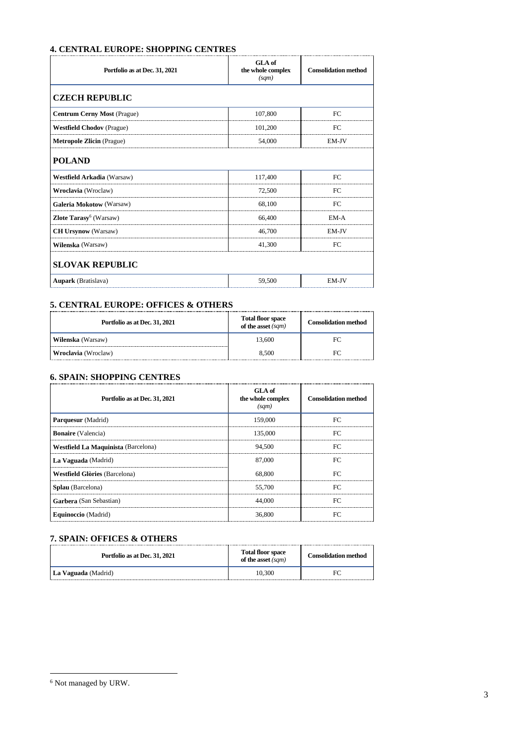## **4. CENTRAL EUROPE: SHOPPING CENTRES**

| Portfolio as at Dec. 31, 2021            | GLA of<br>the whole complex<br>(sqm) | <b>Consolidation method</b> |
|------------------------------------------|--------------------------------------|-----------------------------|
| <b>CZECH REPUBLIC</b>                    |                                      |                             |
| <b>Centrum Cerny Most (Prague)</b>       | 107,800                              | FC                          |
| <b>Westfield Chodov</b> (Prague)         | 101,200                              | FC                          |
| <b>Metropole Zlicin</b> (Prague)         | 54,000                               | EM-JV                       |
| <b>POLAND</b>                            |                                      |                             |
| <b>Westfield Arkadia</b> (Warsaw)        | 117,400                              | FC                          |
| Wroclavia (Wroclaw)                      | 72,500                               | FC                          |
| <b>Galeria Mokotow (Warsaw)</b>          | 68,100                               | FC                          |
| <b>Zlote Tarasy<sup>6</sup></b> (Warsaw) | 66,400                               | EM-A                        |
| <b>CH Ursynow</b> (Warsaw)               | 46,700                               | EM-JV                       |
| Wilenska (Warsaw)                        | 41,300                               | FC                          |
| <b>SLOVAK REPUBLIC</b>                   |                                      |                             |
| <b>Aupark</b> (Bratislava)               | 59,500                               | EM-JV                       |

#### **5. CENTRAL EUROPE: OFFICES & OTHERS**

| Portfolio as at Dec. 31, 2021 | <b>Total floor space</b><br>of the asset $(sqm)$ | <b>Consolidation method</b> |
|-------------------------------|--------------------------------------------------|-----------------------------|
| Wilenska (Warsaw)             | 13.600                                           | FC                          |
| Wroclavia (Wroclaw)           | 8.500                                            |                             |

#### **6. SPAIN: SHOPPING CENTRES**

| Portfolio as at Dec. 31, 2021        | GLA of<br>the whole complex<br>(sqm) | <b>Consolidation method</b> |
|--------------------------------------|--------------------------------------|-----------------------------|
| Parquesur (Madrid)                   | 159,000                              | FC.                         |
| <b>Bonaire</b> (Valencia)            | 135,000                              | FC                          |
| Westfield La Maquinista (Barcelona)  | 94.500                               | FC                          |
| La Vaguada (Madrid)                  | 87,000                               | FC                          |
| <b>Westfield Glòries</b> (Barcelona) | 68.800                               | FC                          |
| Splau (Barcelona)                    | 55,700                               | FC                          |
| Garbera (San Sebastian)              | 44,000                               | FC                          |
| Equinoccio (Madrid)                  | 36,800                               | FC.                         |

## **7. SPAIN: OFFICES & OTHERS**

| Portfolio as at Dec. 31, 2021 | <b>Total floor space</b><br>of the asset $(sqm)$ | <b>Consolidation method</b> |
|-------------------------------|--------------------------------------------------|-----------------------------|
| La Vaguada (Madrid)           | 10.300                                           |                             |

 $^6$  Not managed by URW.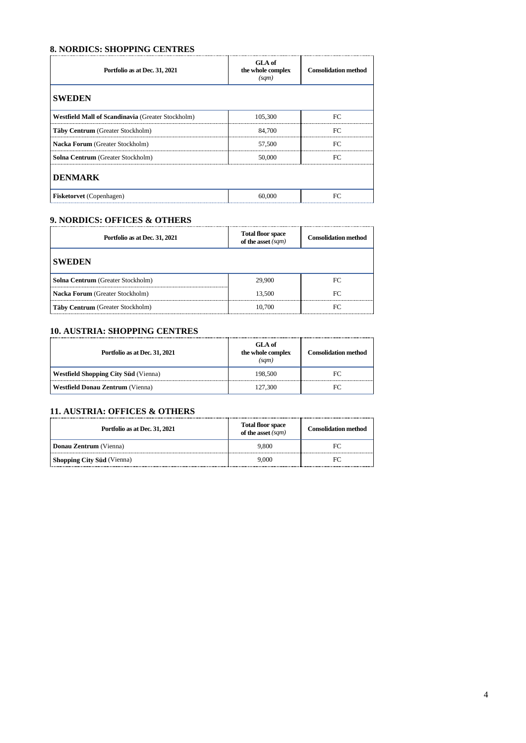#### **8. NORDICS: SHOPPING CENTRES**

| Portfolio as at Dec. 31, 2021                     | GLA of<br>the whole complex<br>(sqm) | <b>Consolidation method</b> |
|---------------------------------------------------|--------------------------------------|-----------------------------|
| <b>SWEDEN</b>                                     |                                      |                             |
| Westfield Mall of Scandinavia (Greater Stockholm) | 105,300                              | FC.                         |
| Täby Centrum (Greater Stockholm)                  | 84,700                               | FC.                         |
| Nacka Forum (Greater Stockholm)                   | 57,500                               | FC.                         |
| Solna Centrum (Greater Stockholm)                 | 50,000                               | FC                          |
| <b>DENMARK</b>                                    |                                      |                             |
| <b>Fisketorvet</b> (Copenhagen)                   | 60,000                               | FC                          |

## **9. NORDICS: OFFICES & OTHERS**

| Portfolio as at Dec. 31, 2021            | Total floor space<br>of the asset $(sqm)$ | <b>Consolidation method</b> |
|------------------------------------------|-------------------------------------------|-----------------------------|
| <b>SWEDEN</b>                            |                                           |                             |
| <b>Solna Centrum</b> (Greater Stockholm) | 29,900                                    | FC                          |
| <b>Nacka Forum</b> (Greater Stockholm)   | 13.500                                    | FC                          |
| Täby Centrum (Greater Stockholm)         | 10.700                                    | FС                          |

#### **10. AUSTRIA: SHOPPING CENTRES**

| Portfolio as at Dec. 31, 2021               | GLA of<br>the whole complex<br>(sam) | <b>Consolidation method</b> |
|---------------------------------------------|--------------------------------------|-----------------------------|
| <b>Westfield Shopping City Süd</b> (Vienna) | 198.500                              | FС                          |
| <b>Westfield Donau Zentrum (Vienna)</b>     | 127,300                              | FС                          |

## **11. AUSTRIA: OFFICES & OTHERS**

| Portfolio as at Dec. 31, 2021     | <b>Total floor space</b><br>of the asset $(sqm)$ | <b>Consolidation method</b> |
|-----------------------------------|--------------------------------------------------|-----------------------------|
| Donau Zentrum (Vienna)            | 9.800                                            |                             |
| <b>Shopping City Süd</b> (Vienna) | 9.000                                            |                             |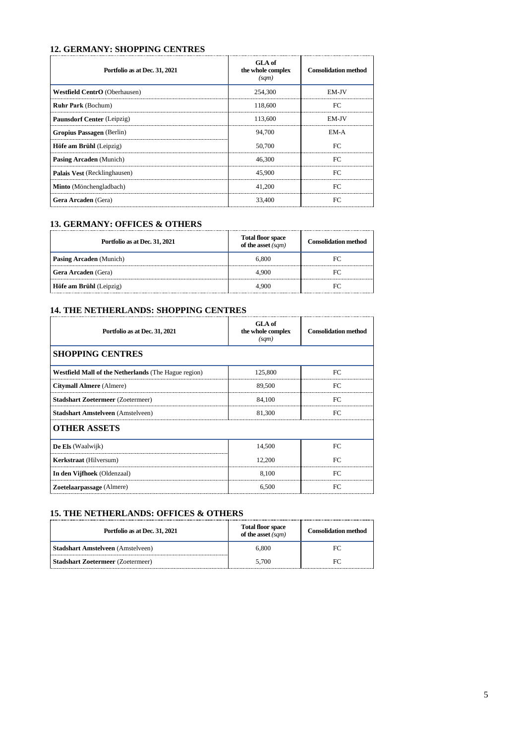#### **12. GERMANY: SHOPPING CENTRES**

| Portfolio as at Dec. 31, 2021 | GLA of<br>the whole complex<br>(sqm) | <b>Consolidation method</b> |
|-------------------------------|--------------------------------------|-----------------------------|
| Westfield CentrO (Oberhausen) | 254,300                              | EM-JV                       |
| <b>Ruhr Park (Bochum)</b>     | 118,600                              | FC                          |
| Paunsdorf Center (Leipzig)    | 113,600                              | EM-JV                       |
| Gropius Passagen (Berlin)     | 94,700                               | EM-A                        |
| Höfe am Brühl (Leipzig)       | 50,700                               | FC                          |
| Pasing Arcaden (Munich)       | 46,300                               | FC.                         |
| Palais Vest (Recklinghausen)  | 45,900                               | FC                          |
| Minto (Mönchengladbach)       | 41.200                               | FC                          |
| Gera Arcaden (Gera)           | 33,400                               | FC                          |

#### **13. GERMANY: OFFICES & OTHERS**

| Portfolio as at Dec. 31, 2021  | <b>Total floor space</b><br>of the asset (sqm) | <b>Consolidation method</b> |
|--------------------------------|------------------------------------------------|-----------------------------|
| <b>Pasing Arcaden</b> (Munich) | ი 800                                          |                             |
| <b>Gera Arcaden</b> (Gera)     | 4.900                                          |                             |
| Höfe am Brühl (Leipzig)        | . 900                                          |                             |

#### **14. THE NETHERLANDS: SHOPPING CENTRES**

| Portfolio as at Dec. 31, 2021                        | GLA of<br>the whole complex<br>(sqm) | <b>Consolidation method</b> |
|------------------------------------------------------|--------------------------------------|-----------------------------|
| <b>SHOPPING CENTRES</b>                              |                                      |                             |
| Westfield Mall of the Netherlands (The Hague region) | 125,800                              | FC                          |
| Citymall Almere (Almere)                             | 89,500                               | FC                          |
| <b>Stadshart Zoetermeer (Zoetermeer)</b>             | 84,100                               | FC                          |
| <b>Stadshart Amstelveen</b> (Amstelveen)             | 81,300                               | FC                          |
| <b>OTHER ASSETS</b>                                  |                                      |                             |
| De Els (Waalwijk)                                    | 14,500                               | FC                          |
| <b>Kerkstraat</b> (Hilversum)                        | 12,200                               | FC.                         |
| In den Vijfhoek (Oldenzaal)                          | 8,100                                | FC                          |
| <b>Zoetelaarpassage</b> (Almere)                     | 6,500                                | FC.                         |

#### **15. THE NETHERLANDS: OFFICES & OTHERS**

| Portfolio as at Dec. 31, 2021            | <b>Total floor space</b><br>of the asset (sqm) | <b>Consolidation method</b> |
|------------------------------------------|------------------------------------------------|-----------------------------|
| <b>Stadshart Amstelveen</b> (Amstelveen) | 6.800                                          | FС                          |
| <b>Stadshart Zoetermeer</b> (Zoetermeer) | 5.700                                          |                             |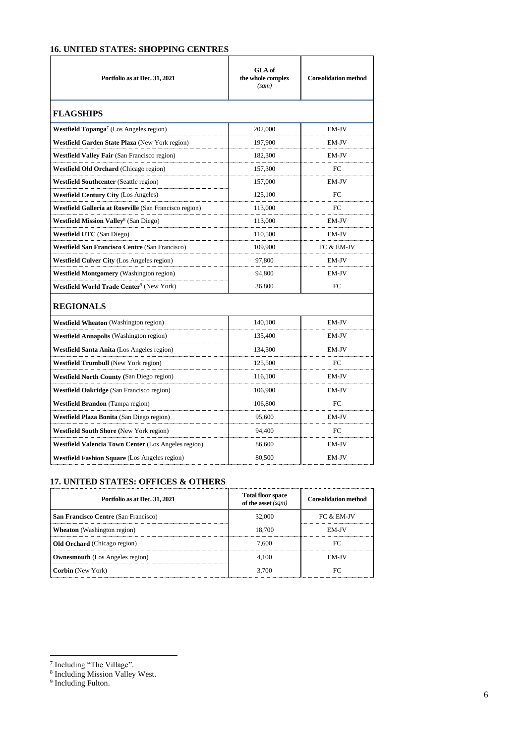# **16. UNITED STATES: SHOPPING CENTRES**

| Portfolio as at Dec. 31, 2021                              | <b>GLA</b> of<br>the whole complex<br>(sqm) | <b>Consolidation method</b> |
|------------------------------------------------------------|---------------------------------------------|-----------------------------|
| <b>FLAGSHIPS</b>                                           |                                             |                             |
| Westfield Topanga <sup>7</sup> (Los Angeles region)        | 202,000                                     | EM-JV                       |
| Westfield Garden State Plaza (New York region)             | 197,900                                     | EM-JV                       |
| <b>Westfield Valley Fair (San Francisco region)</b>        | 182,300                                     | EM-JV                       |
| Westfield Old Orchard (Chicago region)                     | 157,300                                     | FC.                         |
| <b>Westfield Southcenter (Seattle region)</b>              | 157,000                                     | EM-JV                       |
| <b>Westfield Century City (Los Angeles)</b>                | 125,100                                     | FC                          |
| Westfield Galleria at Roseville (San Francisco region)     | 113,000                                     | FC                          |
| <b>Westfield Mission Valley</b> <sup>8</sup> (San Diego)   | 113,000                                     | EM-JV                       |
| <b>Westfield UTC</b> (San Diego)                           | 110,500                                     | EM-JV                       |
| <b>Westfield San Francisco Centre (San Francisco)</b>      | 109,900                                     | FC & EM-JV                  |
| <b>Westfield Culver City</b> (Los Angeles region)          | 97,800                                      | EM-JV                       |
| <b>Westfield Montgomery</b> (Washington region)            | 94,800                                      | EM-JV                       |
| Westfield World Trade Center <sup>9</sup> (New York)       | 36,800                                      | FC                          |
| <b>REGIONALS</b>                                           |                                             |                             |
| <b>Westfield Wheaton</b> (Washington region)               | 140,100                                     | EM-JV                       |
| Westfield Annapolis (Washington region)                    | 135,400                                     | EM-JV                       |
| <b>Westfield Santa Anita</b> (Los Angeles region)          | 134,300                                     | EM-JV                       |
| <b>Westfield Trumbull</b> (New York region)                | 125,500                                     | FC                          |
| Westfield North County (San Diego region)                  | 116,100                                     | EM-JV                       |
| <b>Westfield Oakridge</b> (San Francisco region)           | 106.900                                     | EM-JV                       |
| <b>Westfield Brandon</b> (Tampa region)                    | 106,800                                     | FC                          |
| <b>Westfield Plaza Bonita</b> (San Diego region)           | 95,600                                      | EM-JV                       |
| <b>Westfield South Shore (New York region)</b>             | 94,400                                      | FC                          |
| <b>Westfield Valencia Town Center (Los Angeles region)</b> | 86,600                                      | EM-JV                       |
| <b>Westfield Fashion Square (Los Angeles region)</b>       | 80,500                                      | EM-JV                       |

## **17. UNITED STATES: OFFICES & OTHERS**

| Portfolio as at Dec. 31, 2021               | <b>Total floor space</b><br>of the asset $(sqm)$ | <b>Consolidation method</b> |
|---------------------------------------------|--------------------------------------------------|-----------------------------|
| <b>San Francisco Centre (San Francisco)</b> | 32.000                                           | $FC & EM-IV$                |
| <b>Wheaton</b> (Washington region)          | 18.700                                           | <b>EM-IV</b>                |
| <b>Old Orchard</b> (Chicago region)         | 7.600                                            |                             |
| <b>Ownesmouth</b> (Los Angeles region)      | 4 100                                            | FM-IV                       |
| <b>Corbin</b> (New York)                    | 3.700                                            |                             |

<sup>7</sup> Including "The Village". 8 Including Mission Valley West. 9 Including Fulton.